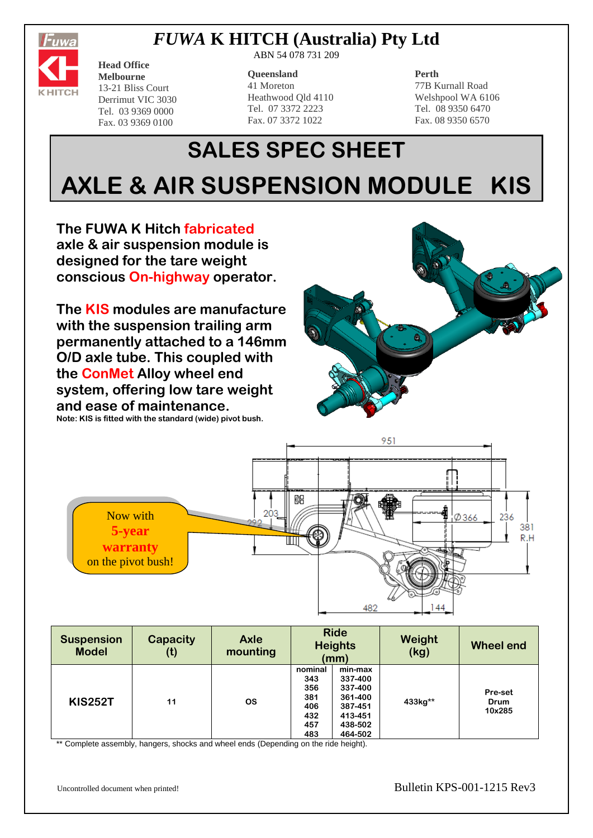

# *FUWA* **K HITCH (Australia) Pty Ltd**

ABN 54 078 731 209

13-21 Bliss Court Derrimut VIC 3030 Tel. 03 9369 0000 Fax. 03 9369 0100

**Head Office Melbourne**

### **Queensland** 41 Moreton Heathwood Qld 4110 Tel. 07 3372 2223 Fax. 07 3372 1022

### **Perth**

77B Kurnall Road Welshpool WA 6106 Tel. 08 9350 6470 Fax. 08 9350 6570

# **SALES SPEC SHEET AXLE & AIR SUSPENSION MODULE KIS**

**The FUWA K Hitch fabricated axle & air suspension module is designed for the tare weight conscious On-highway operator.** 

**The KIS modules are manufacture with the suspension trailing arm permanently attached to a 146mm O/D axle tube. This coupled with the ConMet Alloy wheel end system, offering low tare weight and ease of maintenance. Note: KIS is fitted with the standard (wide) pivot bush.**





| <b>Suspension</b><br><b>Model</b> | <b>Capacity</b><br>(t) | <b>Axle</b><br>mounting | <b>Ride</b><br><b>Heights</b><br>(mm)                    |                                                                                      | Weight<br>(kg) | <b>Wheel end</b>          |
|-----------------------------------|------------------------|-------------------------|----------------------------------------------------------|--------------------------------------------------------------------------------------|----------------|---------------------------|
| <b>KIS252T</b>                    | 11                     | <b>OS</b>               | nominal<br>343<br>356<br>381<br>406<br>432<br>457<br>483 | min-max<br>337-400<br>337-400<br>361-400<br>387-451<br>413-451<br>438-502<br>464-502 | 433kg**        | Pre-set<br>Drum<br>10x285 |

\*\* Complete assembly, hangers, shocks and wheel ends (Depending on the ride height).